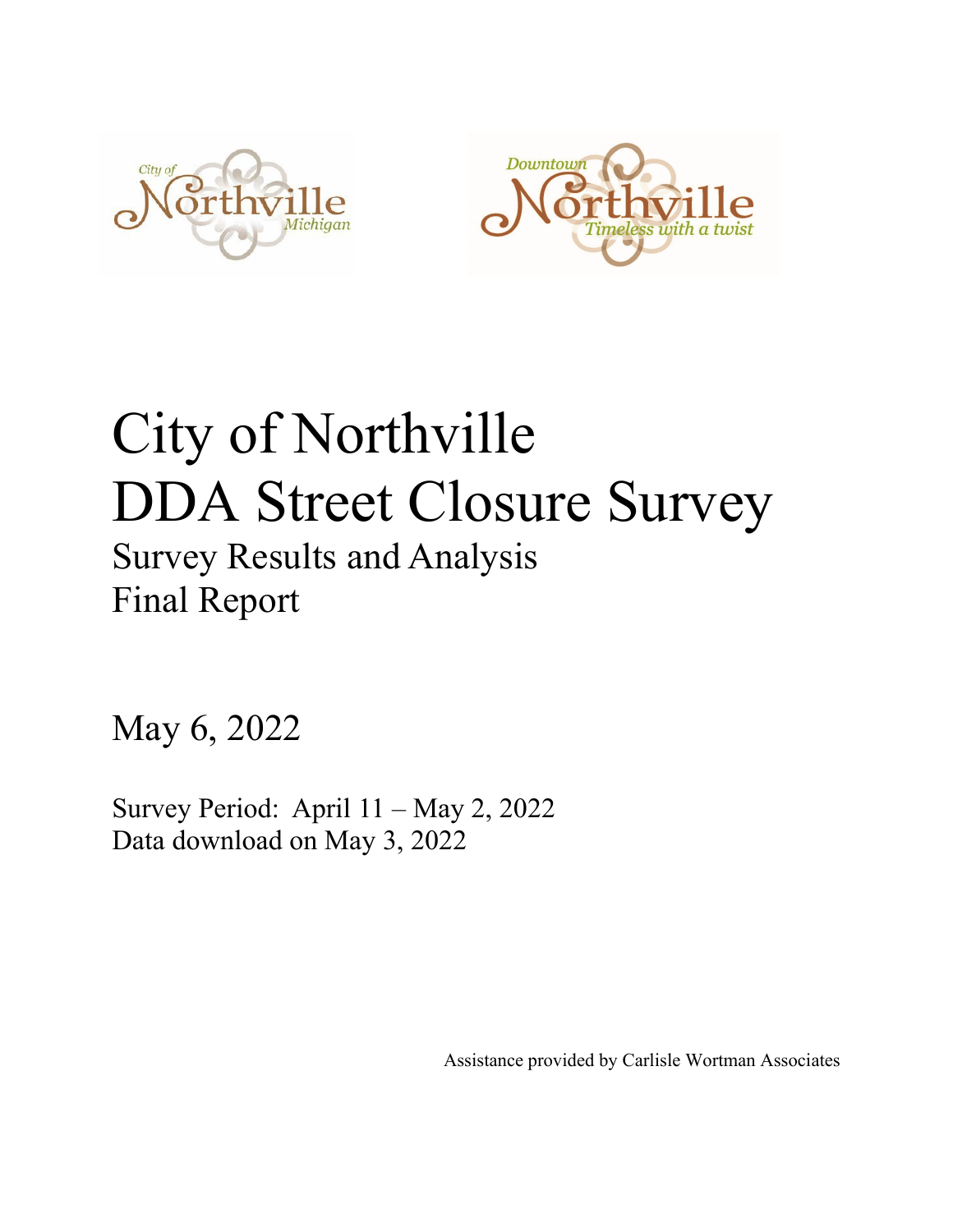



# City of Northville DDA Street Closure Survey

## Survey Results and Analysis Final Report

May 6, 2022

Survey Period: April 11 – May 2, 2022 Data download on May 3, 2022

Assistance provided by Carlisle Wortman Associates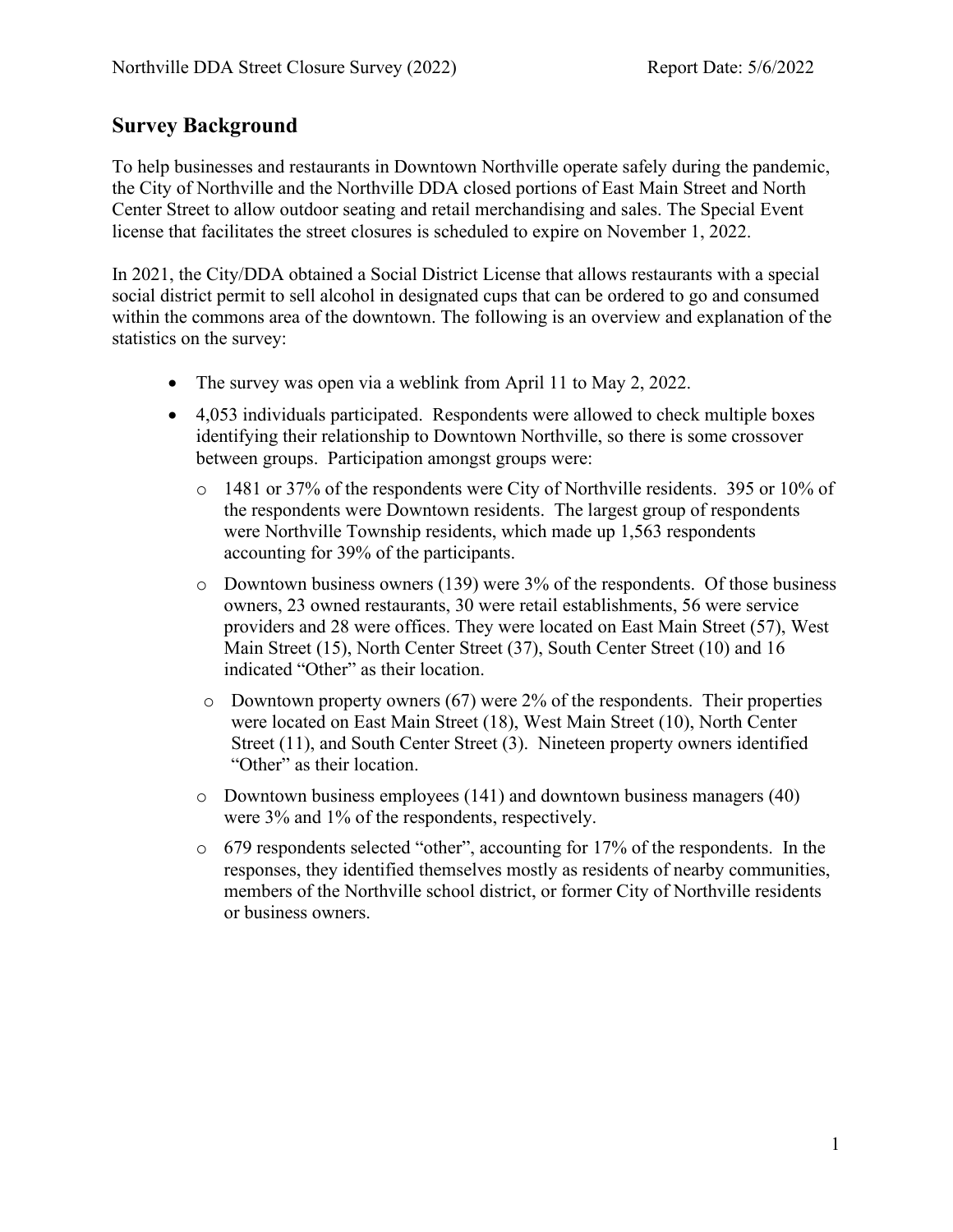### **Survey Background**

To help businesses and restaurants in Downtown Northville operate safely during the pandemic, the City of Northville and the Northville DDA closed portions of East Main Street and North Center Street to allow outdoor seating and retail merchandising and sales. The Special Event license that facilitates the street closures is scheduled to expire on November 1, 2022.

In 2021, the City/DDA obtained a Social District License that allows restaurants with a special social district permit to sell alcohol in designated cups that can be ordered to go and consumed within the commons area of the downtown. The following is an overview and explanation of the statistics on the survey:

- The survey was open via a weblink from April 11 to May 2, 2022.
- 4,053 individuals participated. Respondents were allowed to check multiple boxes identifying their relationship to Downtown Northville, so there is some crossover between groups. Participation amongst groups were:
	- o 1481 or 37% of the respondents were City of Northville residents. 395 or 10% of the respondents were Downtown residents. The largest group of respondents were Northville Township residents, which made up 1,563 respondents accounting for 39% of the participants.
	- o Downtown business owners (139) were 3% of the respondents. Of those business owners, 23 owned restaurants, 30 were retail establishments, 56 were service providers and 28 were offices. They were located on East Main Street (57), West Main Street (15), North Center Street (37), South Center Street (10) and 16 indicated "Other" as their location.
	- o Downtown property owners (67) were 2% of the respondents. Their properties were located on East Main Street (18), West Main Street (10), North Center Street (11), and South Center Street (3). Nineteen property owners identified "Other" as their location.
	- o Downtown business employees (141) and downtown business managers (40) were 3% and 1% of the respondents, respectively.
	- o 679 respondents selected "other", accounting for 17% of the respondents. In the responses, they identified themselves mostly as residents of nearby communities, members of the Northville school district, or former City of Northville residents or business owners.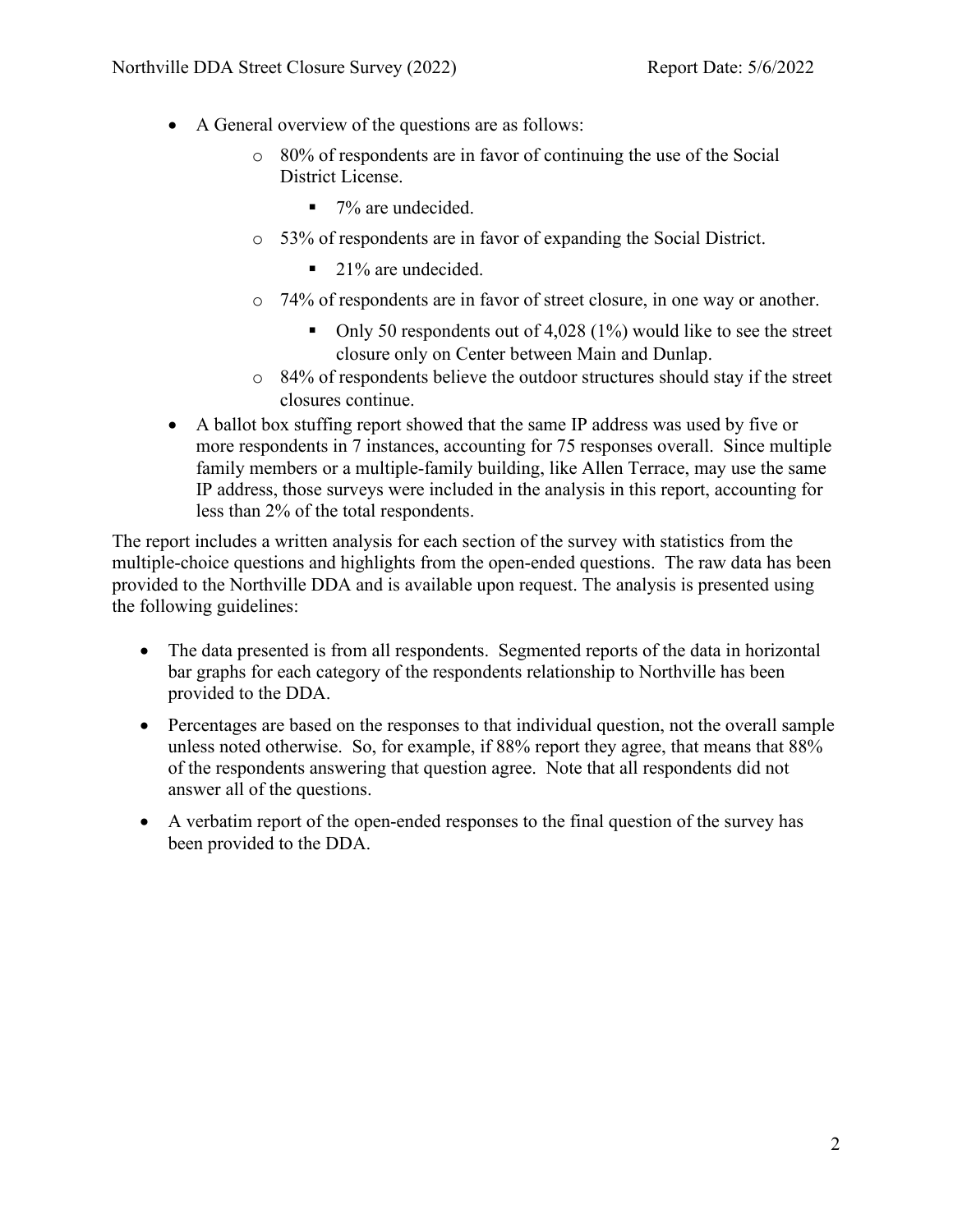- A General overview of the questions are as follows:
	- o 80% of respondents are in favor of continuing the use of the Social District License.
		- $\blacksquare$  7% are undecided.
	- o 53% of respondents are in favor of expanding the Social District.
		- $\blacksquare$  21% are undecided.
	- o 74% of respondents are in favor of street closure, in one way or another.
		- Only 50 respondents out of 4,028  $(1%)$  would like to see the street closure only on Center between Main and Dunlap.
	- o 84% of respondents believe the outdoor structures should stay if the street closures continue.
- A ballot box stuffing report showed that the same IP address was used by five or more respondents in 7 instances, accounting for 75 responses overall. Since multiple family members or a multiple-family building, like Allen Terrace, may use the same IP address, those surveys were included in the analysis in this report, accounting for less than 2% of the total respondents.

The report includes a written analysis for each section of the survey with statistics from the multiple-choice questions and highlights from the open-ended questions. The raw data has been provided to the Northville DDA and is available upon request. The analysis is presented using the following guidelines:

- The data presented is from all respondents. Segmented reports of the data in horizontal bar graphs for each category of the respondents relationship to Northville has been provided to the DDA.
- Percentages are based on the responses to that individual question, not the overall sample unless noted otherwise. So, for example, if 88% report they agree, that means that 88% of the respondents answering that question agree. Note that all respondents did not answer all of the questions.
- A verbatim report of the open-ended responses to the final question of the survey has been provided to the DDA.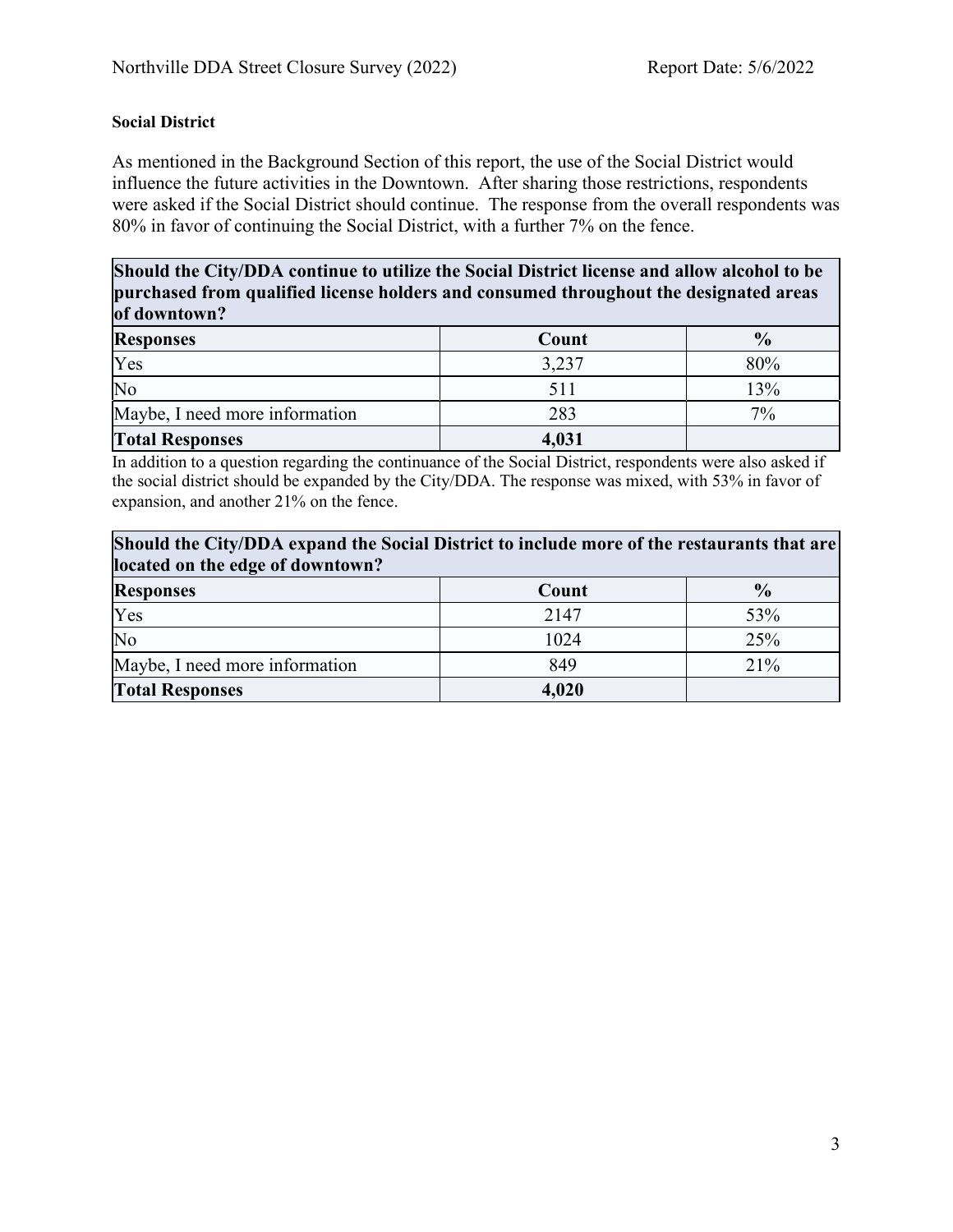#### **Social District**

As mentioned in the Background Section of this report, the use of the Social District would influence the future activities in the Downtown. After sharing those restrictions, respondents were asked if the Social District should continue. The response from the overall respondents was 80% in favor of continuing the Social District, with a further 7% on the fence.

**Should the City/DDA continue to utilize the Social District license and allow alcohol to be purchased from qualified license holders and consumed throughout the designated areas of downtown?**

| $\mathbf{v}$ averse with       |       |               |  |
|--------------------------------|-------|---------------|--|
| <b>Responses</b>               | Count | $\frac{0}{0}$ |  |
| Yes                            | 3,237 | 80%           |  |
| No                             | 511   | 13%           |  |
| Maybe, I need more information | 283   | $7\%$         |  |
| <b>Total Responses</b>         | 4,031 |               |  |

In addition to a question regarding the continuance of the Social District, respondents were also asked if the social district should be expanded by the City/DDA. The response was mixed, with 53% in favor of expansion, and another 21% on the fence.

#### **Should the City/DDA expand the Social District to include more of the restaurants that are located on the edge of downtown?**

| $\mu$ and $\mu$ and $\mu$ and $\mu$ and $\mu$ are $\mu$ . |       |               |  |
|-----------------------------------------------------------|-------|---------------|--|
| <b>Responses</b>                                          | Count | $\frac{0}{0}$ |  |
| Yes                                                       | 2147  | 53%           |  |
| No                                                        | 1024  | 25%           |  |
| Maybe, I need more information                            | 849   | 21%           |  |
| <b>Total Responses</b>                                    | 4,020 |               |  |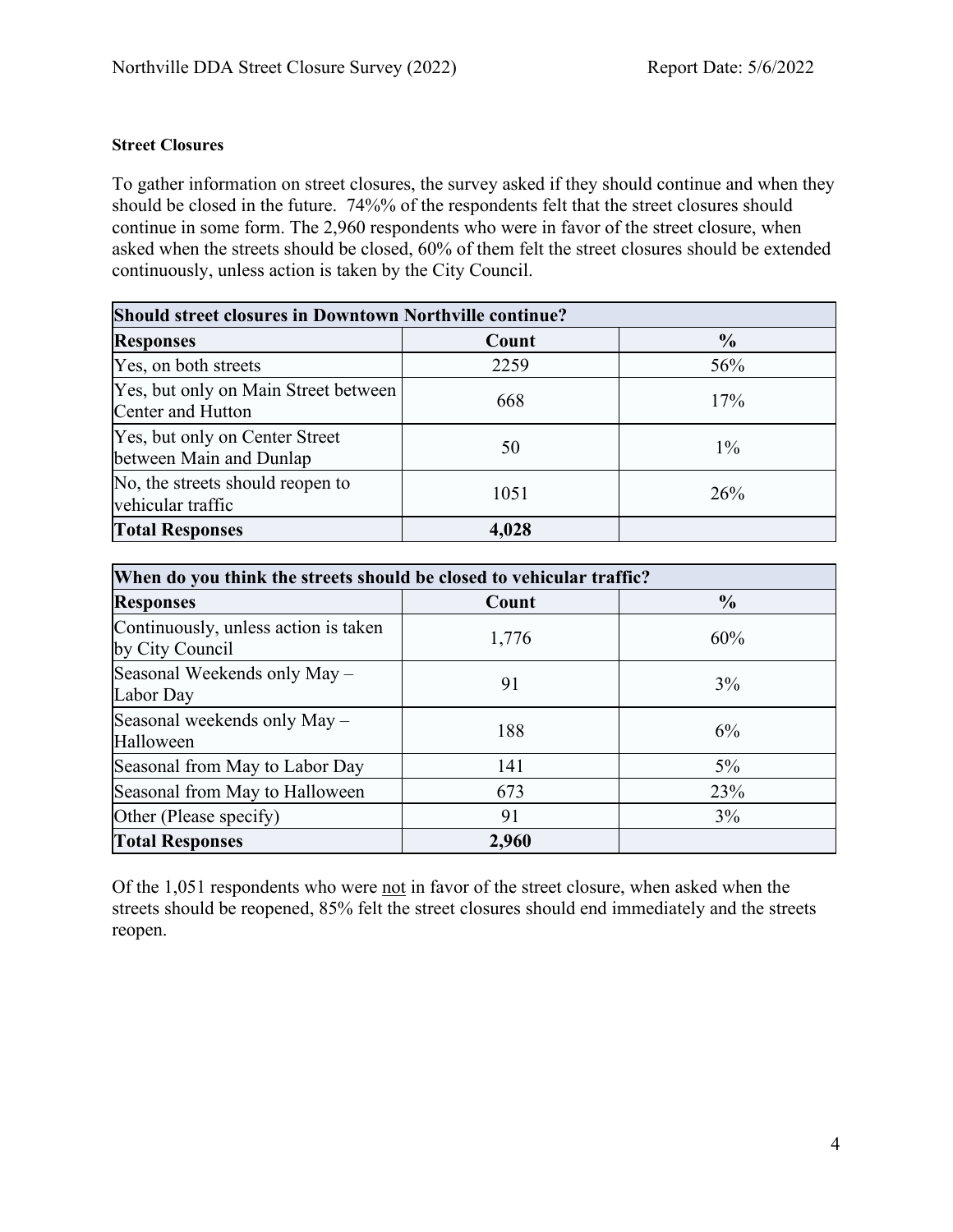#### **Street Closures**

To gather information on street closures, the survey asked if they should continue and when they should be closed in the future. 74%% of the respondents felt that the street closures should continue in some form. The 2,960 respondents who were in favor of the street closure, when asked when the streets should be closed, 60% of them felt the street closures should be extended continuously, unless action is taken by the City Council.

| <b>Should street closures in Downtown Northville continue?</b> |       |               |  |
|----------------------------------------------------------------|-------|---------------|--|
| <b>Responses</b>                                               | Count | $\frac{0}{0}$ |  |
| Yes, on both streets                                           | 2259  | 56%           |  |
| Yes, but only on Main Street between<br>Center and Hutton      | 668   | 17%           |  |
| Yes, but only on Center Street<br>between Main and Dunlap      | 50    | $1\%$         |  |
| No, the streets should reopen to<br>vehicular traffic          | 1051  | 26%           |  |
| <b>Total Responses</b>                                         | 4,028 |               |  |

| When do you think the streets should be closed to vehicular traffic? |       |               |  |
|----------------------------------------------------------------------|-------|---------------|--|
| <b>Responses</b>                                                     | Count | $\frac{0}{0}$ |  |
| Continuously, unless action is taken<br>by City Council              | 1,776 | 60%           |  |
| Seasonal Weekends only May -<br>Labor Day                            | 91    | 3%            |  |
| Seasonal weekends only May -<br>Halloween                            | 188   | 6%            |  |
| Seasonal from May to Labor Day                                       | 141   | $5\%$         |  |
| Seasonal from May to Halloween                                       | 673   | 23%           |  |
| Other (Please specify)                                               | 91    | 3%            |  |
| <b>Total Responses</b>                                               | 2,960 |               |  |

Of the 1,051 respondents who were not in favor of the street closure, when asked when the streets should be reopened, 85% felt the street closures should end immediately and the streets reopen.